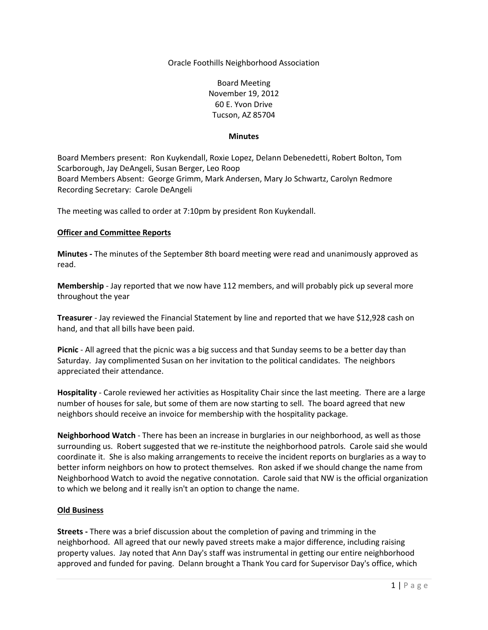Oracle Foothills Neighborhood Association

Board Meeting November 19, 2012 60 E. Yvon Drive Tucson, AZ 85704

## **Minutes**

Board Members present: Ron Kuykendall, Roxie Lopez, Delann Debenedetti, Robert Bolton, Tom Scarborough, Jay DeAngeli, Susan Berger, Leo Roop Board Members Absent: George Grimm, Mark Andersen, Mary Jo Schwartz, Carolyn Redmore Recording Secretary: Carole DeAngeli

The meeting was called to order at 7:10pm by president Ron Kuykendall.

## **Officer and Committee Reports**

**Minutes -** The minutes of the September 8th board meeting were read and unanimously approved as read.

**Membership** - Jay reported that we now have 112 members, and will probably pick up several more throughout the year

**Treasurer** - Jay reviewed the Financial Statement by line and reported that we have \$12,928 cash on hand, and that all bills have been paid.

**Picnic** - All agreed that the picnic was a big success and that Sunday seems to be a better day than Saturday. Jay complimented Susan on her invitation to the political candidates. The neighbors appreciated their attendance.

**Hospitality** - Carole reviewed her activities as Hospitality Chair since the last meeting. There are a large number of houses for sale, but some of them are now starting to sell. The board agreed that new neighbors should receive an invoice for membership with the hospitality package.

**Neighborhood Watch** - There has been an increase in burglaries in our neighborhood, as well as those surrounding us. Robert suggested that we re-institute the neighborhood patrols. Carole said she would coordinate it. She is also making arrangements to receive the incident reports on burglaries as a way to better inform neighbors on how to protect themselves. Ron asked if we should change the name from Neighborhood Watch to avoid the negative connotation. Carole said that NW is the official organization to which we belong and it really isn't an option to change the name.

## **Old Business**

**Streets -** There was a brief discussion about the completion of paving and trimming in the neighborhood. All agreed that our newly paved streets make a major difference, including raising property values. Jay noted that Ann Day's staff was instrumental in getting our entire neighborhood approved and funded for paving. Delann brought a Thank You card for Supervisor Day's office, which